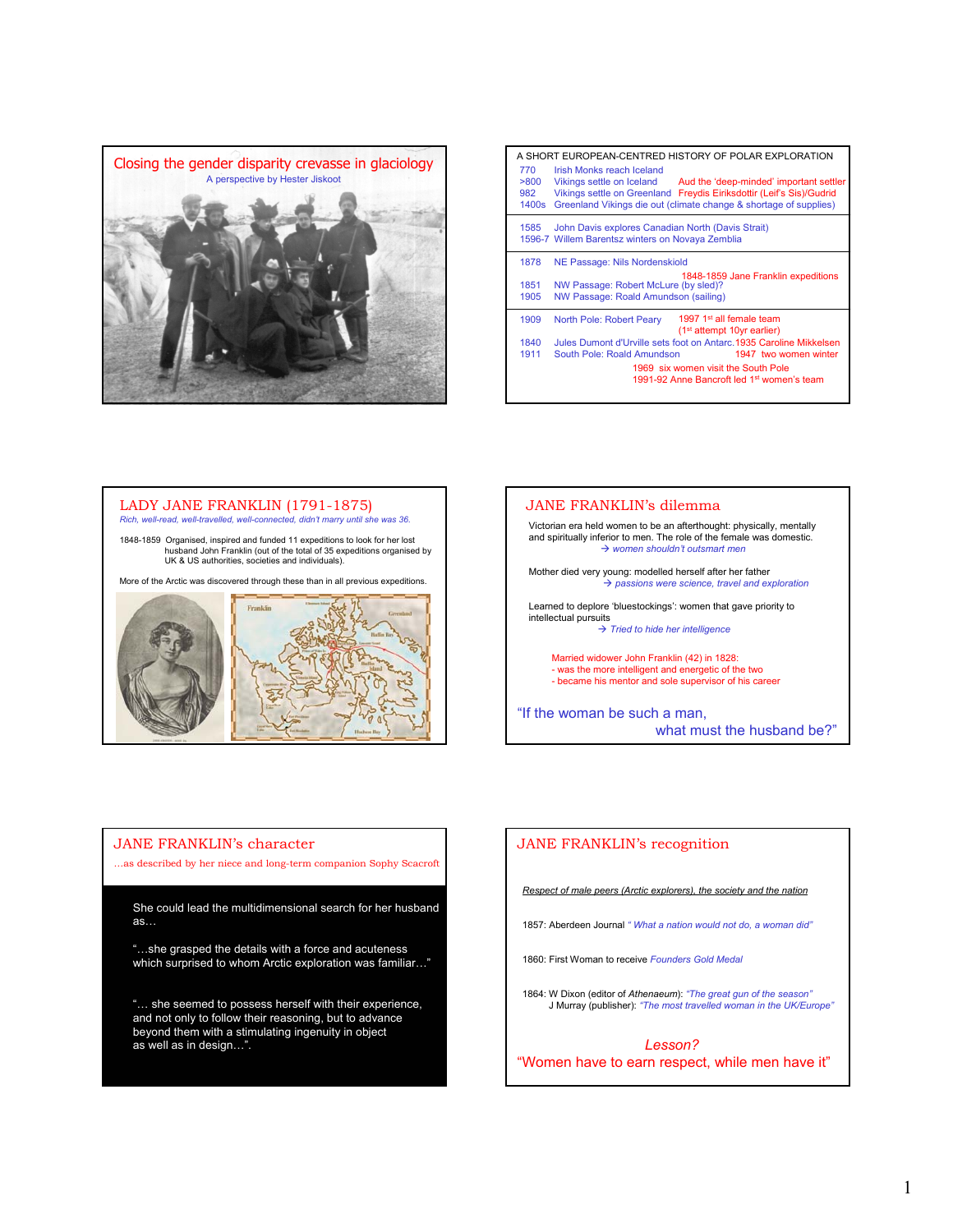

| A SHORT EUROPEAN-CENTRED HISTORY OF POLAR EXPLORATION |                                                                                                                                                                                                                                             |  |  |  |
|-------------------------------------------------------|---------------------------------------------------------------------------------------------------------------------------------------------------------------------------------------------------------------------------------------------|--|--|--|
| 770<br>>800<br>982<br>1400s                           | Irish Monks reach Iceland<br>Vikings settle on Iceland Aud the 'deep-minded' important settler<br>Vikings settle on Greenland Freydis Eiriksdottir (Leif's Sis)/Gudrid<br>Greenland Vikings die out (climate change & shortage of supplies) |  |  |  |
| 1585                                                  | John Davis explores Canadian North (Davis Strait)<br>1596-7 Willem Barentsz winters on Novaya Zemblia                                                                                                                                       |  |  |  |
| 1878                                                  | NE Passage: Nils Nordenskiold                                                                                                                                                                                                               |  |  |  |
| 1851<br>1905                                          | 1848-1859 Jane Franklin expeditions<br>NW Passage: Robert McLure (by sled)?<br>NW Passage: Roald Amundson (sailing)                                                                                                                         |  |  |  |
| 1909                                                  | 1997 1 <sup>st</sup> all female team<br>North Pole: Robert Peary<br>(1 <sup>st</sup> attempt 10yr earlier)                                                                                                                                  |  |  |  |
| 1840                                                  | Jules Dumont d'Urville sets foot on Antarc. 1935 Caroline Mikkelsen                                                                                                                                                                         |  |  |  |
| 1911                                                  | South Pole: Roald Amundson<br>1947 two women winter                                                                                                                                                                                         |  |  |  |
|                                                       | 1969 six women visit the South Pole<br>1991-92 Anne Bancroft led 1 <sup>st</sup> women's team                                                                                                                                               |  |  |  |
|                                                       |                                                                                                                                                                                                                                             |  |  |  |

## LADY JANE FRANKLIN (1791-1875) *Rich, well-read, well-travelled, well-connected, didn't marry until she was 36.*

1848-1859 Organised, inspired and funded 11 expeditions to look for her lost husband John Franklin (out of the total of 35 expeditions organised by UK & US authorities, societies and individuals).

More of the Arctic was discovered through these than in all previous expeditions.





## JANE FRANKLIN's character

…as described by her niece and long-term companion Sophy Scacroft

She could lead the multidimensional search for her husband  $\mathsf{as} \dots$ 

"...she grasped the details with a force and acuteness which surprised to whom Arctic exploration was familiar…"

"... she seemed to possess herself with their experience, *Broad sympathy* and not only to follow their reasoning, but to advance *Intense longing for knowledge and truth* beyond them with a stimulating ingenuity in object *Passionate love of justice* as well as in design…".

## JANE FRANKLIN's recognition

*Respect of male peers (Arctic explorers), the society and the nation*

1857: Aberdeen Journal *" What a nation would not do, a woman did"*

1860: First Woman to receive *Founders Gold Medal*

1864: W Dixon (editor of *Athenaeum*): *"The great gun of the season"* J Murray (publisher): *"The most travelled woman in the UK/Europe"*

*Lesson?* "Women have to earn respect, while men have it"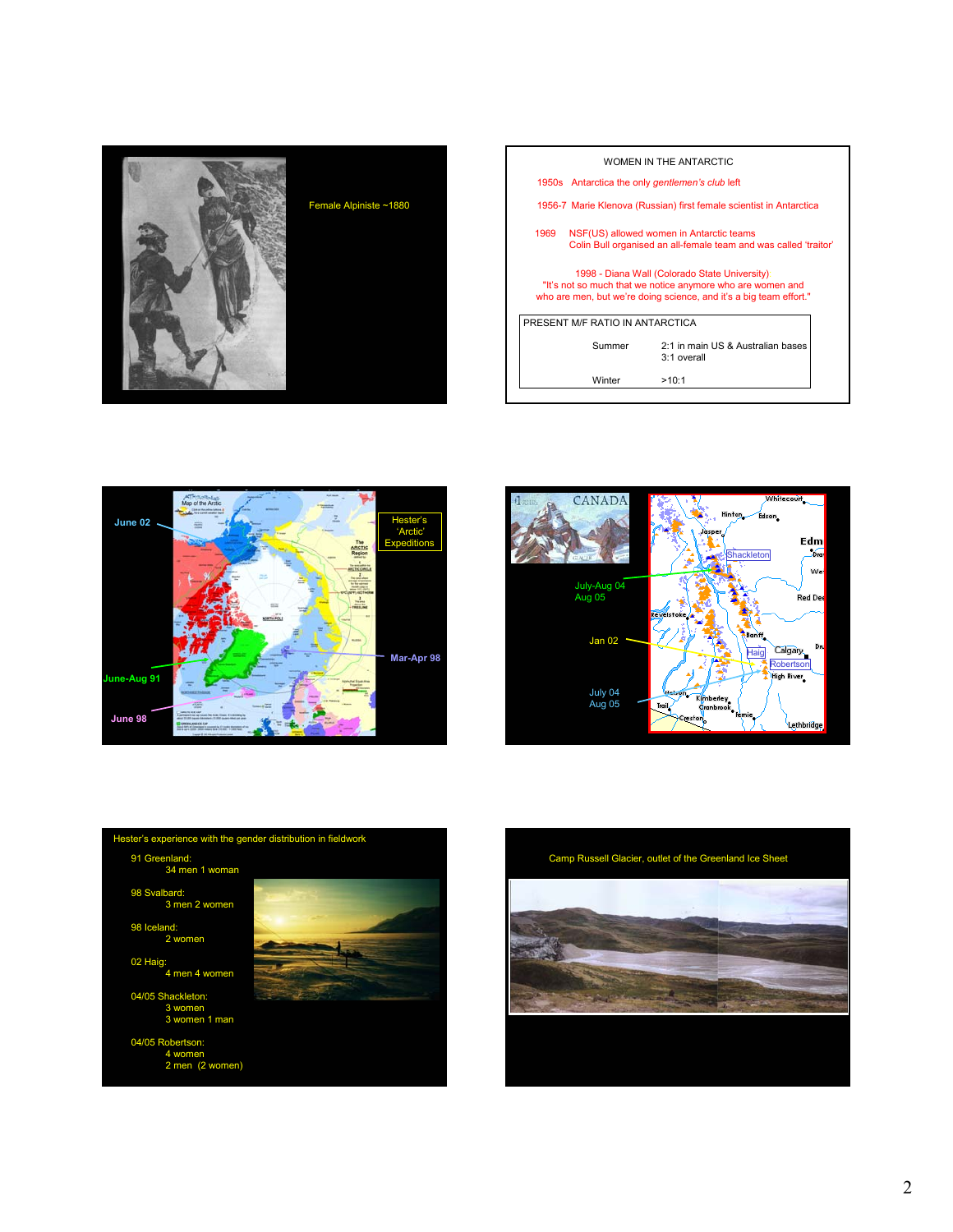

|                                                                                                                                                                                    |        | WOMEN IN THE ANTARCTIC                           |  |  |  |  |
|------------------------------------------------------------------------------------------------------------------------------------------------------------------------------------|--------|--------------------------------------------------|--|--|--|--|
|                                                                                                                                                                                    |        | 1950s Antarctica the only gentlemen's club left  |  |  |  |  |
| 1956-7 Marie Klenova (Russian) first female scientist in Antarctica                                                                                                                |        |                                                  |  |  |  |  |
| 1969<br>NSF(US) allowed women in Antarctic teams<br>Colin Bull organised an all-female team and was called 'traitor'                                                               |        |                                                  |  |  |  |  |
| 1998 - Diana Wall (Colorado State University):<br>"It's not so much that we notice anymore who are women and<br>who are men, but we're doing science, and it's a big team effort." |        |                                                  |  |  |  |  |
| PRESENT M/F RATIO IN ANTARCTICA                                                                                                                                                    |        |                                                  |  |  |  |  |
|                                                                                                                                                                                    | Summer | 2:1 in main US & Australian bases<br>3:1 overall |  |  |  |  |
|                                                                                                                                                                                    | Winter | >10:1                                            |  |  |  |  |







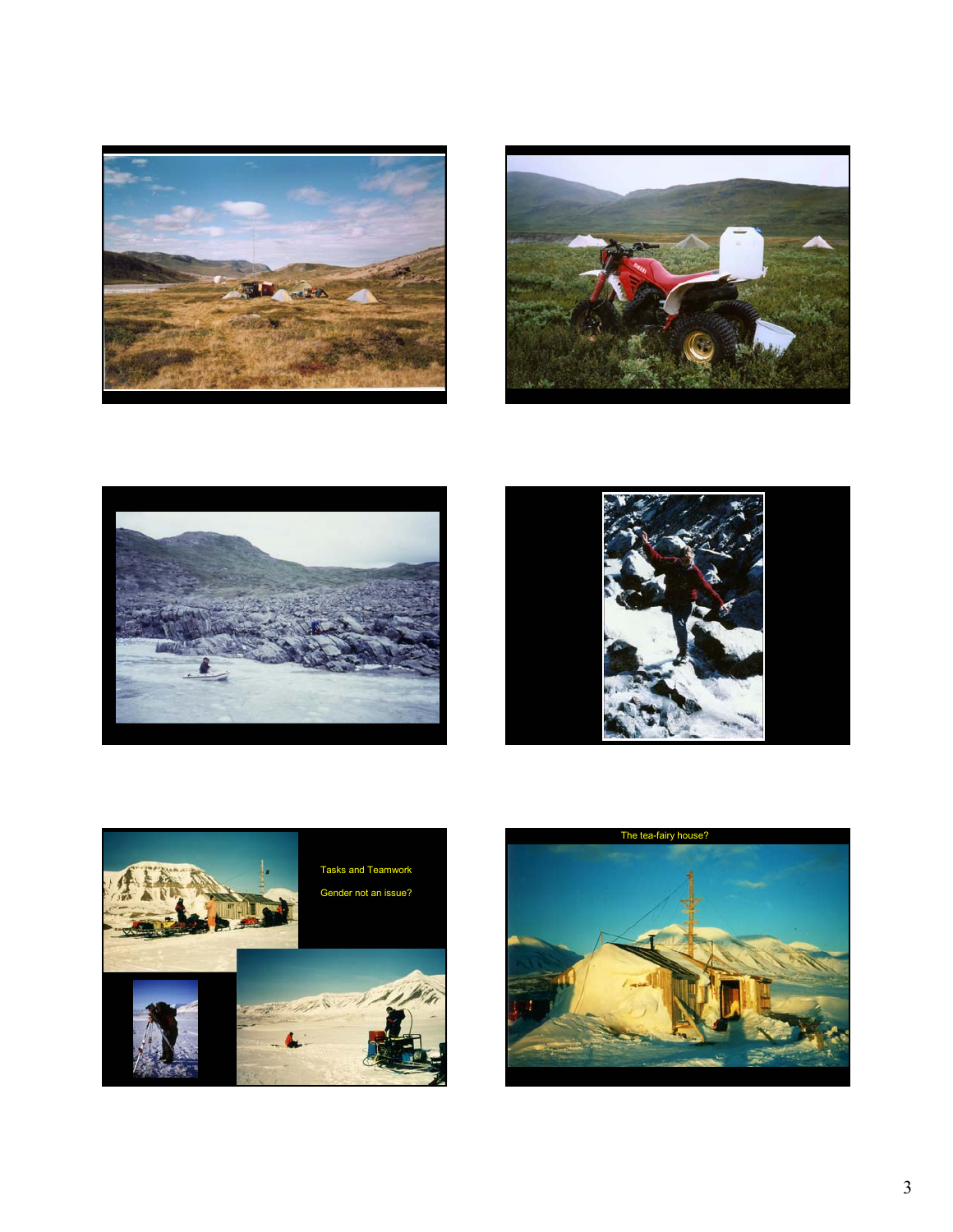









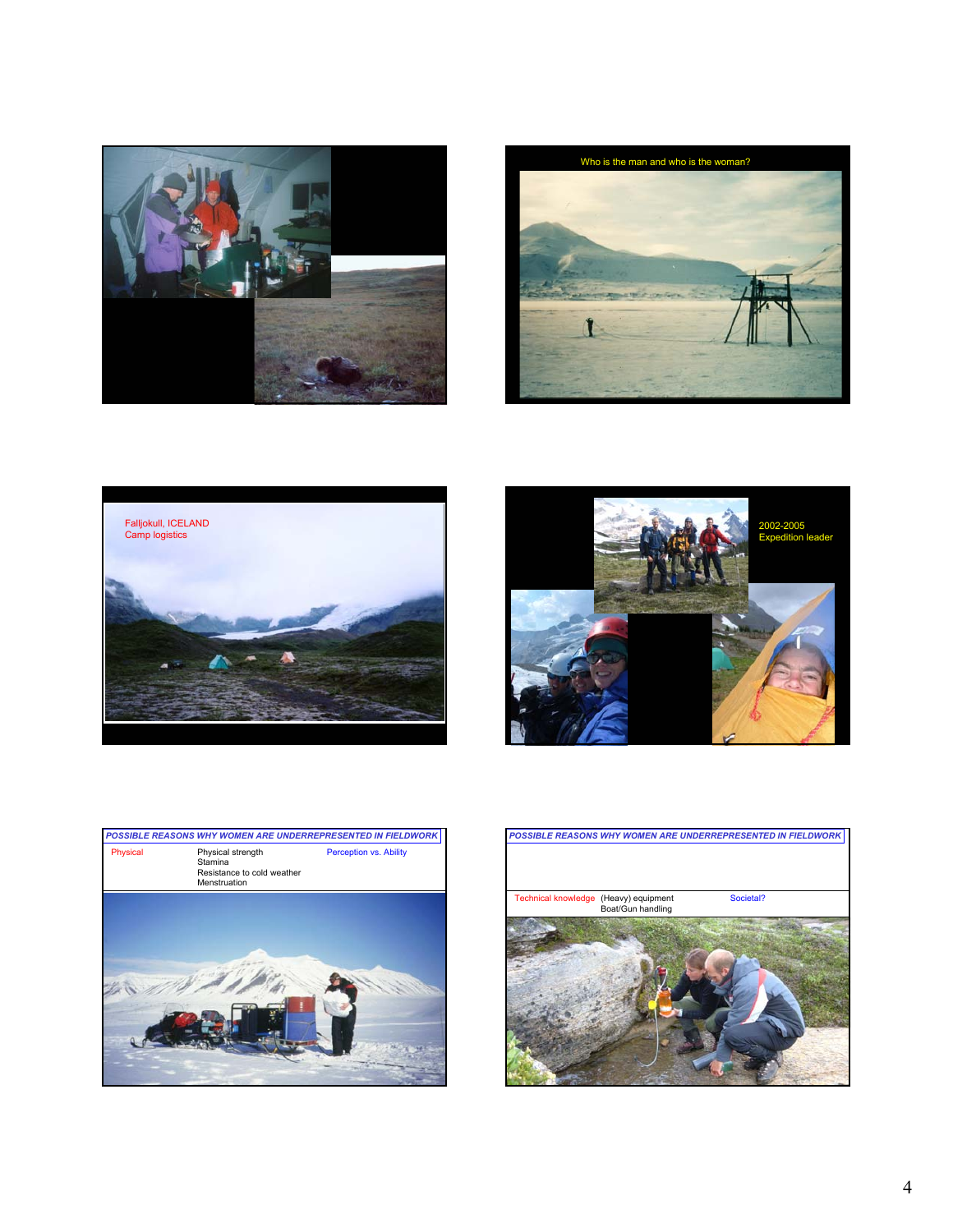









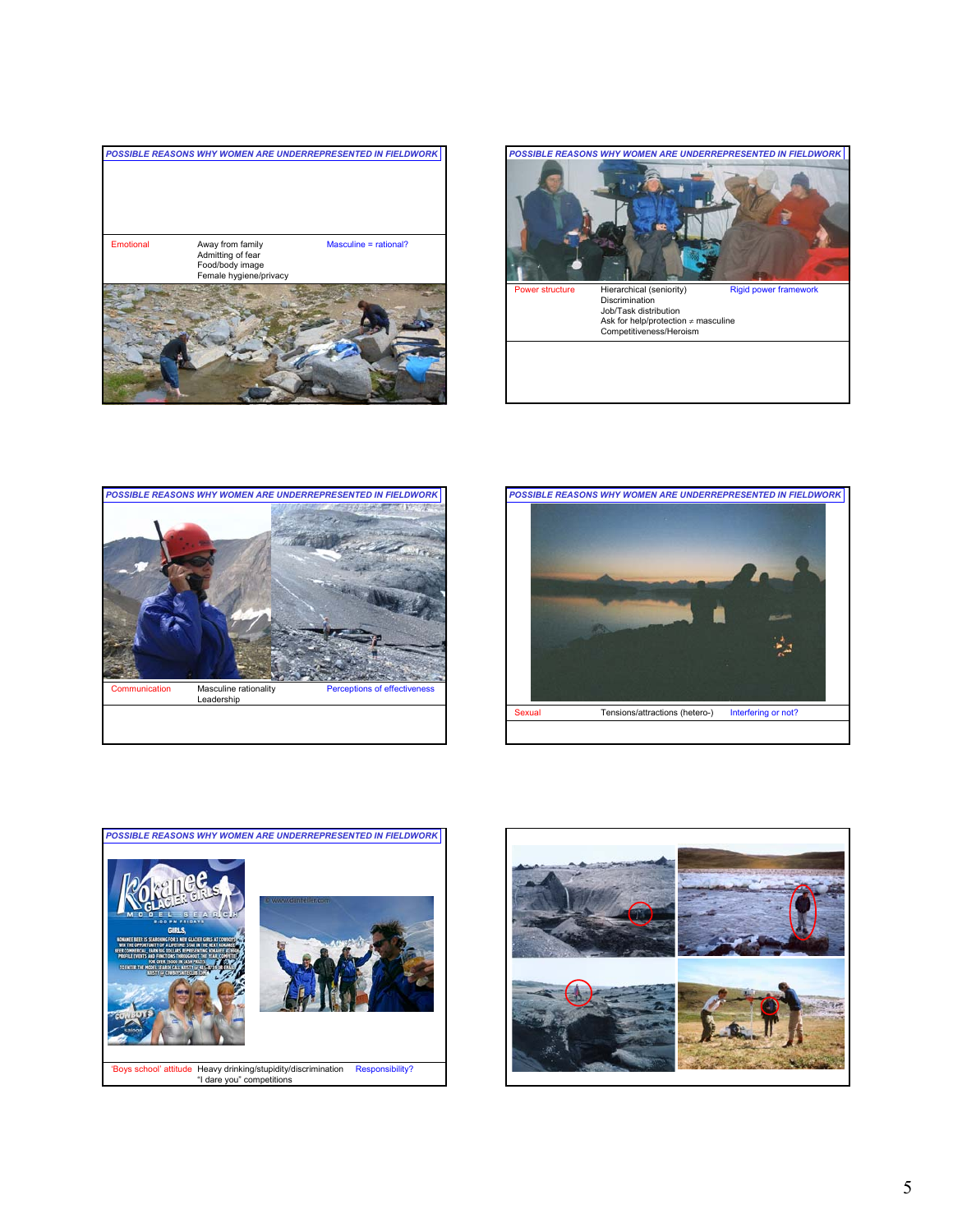